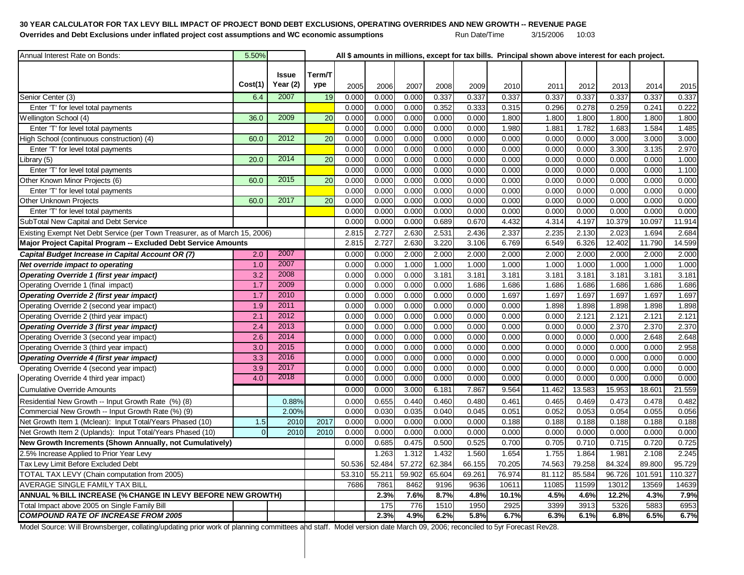## **30 YEAR CALCULATOR FOR TAX LEVY BILL IMPACT OF PROJECT BOND DEBT EXCLUSIONS, OPERATING OVERRIDES AND NEW GROWTH -- REVENUE PAGE** Overrides and Debt Exclusions under inflated project cost assumptions and WC economic assumptions **Run Date/Time** 3/15/2006 10:03

| Annual Interest Rate on Bonds:                                              | 5.50%          |              |                 |        |        |        |        |        |        | All \$ amounts in millions, except for tax bills. Principal shown above interest for each project. |        |        |         |         |
|-----------------------------------------------------------------------------|----------------|--------------|-----------------|--------|--------|--------|--------|--------|--------|----------------------------------------------------------------------------------------------------|--------|--------|---------|---------|
|                                                                             |                |              |                 |        |        |        |        |        |        |                                                                                                    |        |        |         |         |
|                                                                             |                | <b>Issue</b> | Term/T          |        |        |        |        |        |        |                                                                                                    |        |        |         |         |
|                                                                             | Cost(1)        | Year (2)     | ype             | 2005   | 2006   | 2007   | 2008   | 2009   | 2010   | 2011                                                                                               | 2012   | 2013   | 2014    | 2015    |
| Senior Center (3)                                                           | 6.4            | 2007         | 19              | 0.000  | 0.000  | 0.000  | 0.337  | 0.337  | 0.337  | 0.337                                                                                              | 0.337  | 0.337  | 0.337   | 0.337   |
| Enter 'T' for level total payments                                          |                |              |                 | 0.000  | 0.000  | 0.000  | 0.352  | 0.333  | 0.315  | 0.296                                                                                              | 0.278  | 0.259  | 0.241   | 0.222   |
| Wellington School (4)                                                       | 36.0           | 2009         | 20              | 0.000  | 0.000  | 0.000  | 0.000  | 0.000  | 1.800  | 1.800                                                                                              | 1.800  | 1.800  | 1.800   | 1.800   |
| Enter 'T' for level total payments                                          |                |              |                 | 0.000  | 0.000  | 0.000  | 0.000  | 0.000  | 1.980  | 1.881                                                                                              | 1.782  | 1.683  | 1.584   | 1.485   |
| High School (continuous construction) (4)                                   | 60.0           | 2012         | 20              | 0.000  | 0.000  | 0.000  | 0.000  | 0.000  | 0.000  | 0.000                                                                                              | 0.000  | 3.000  | 3.000   | 3.000   |
| Enter 'T' for level total payments                                          |                |              |                 | 0.000  | 0.000  | 0.000  | 0.000  | 0.000  | 0.000  | 0.000                                                                                              | 0.000  | 3.300  | 3.135   | 2.970   |
| Library (5)                                                                 | 20.0           | 2014         | 20              | 0.000  | 0.000  | 0.000  | 0.000  | 0.000  | 0.000  | 0.000                                                                                              | 0.000  | 0.000  | 0.000   | 1.000   |
| Enter 'T' for level total payments                                          |                |              |                 | 0.000  | 0.000  | 0.000  | 0.000  | 0.000  | 0.000  | 0.000                                                                                              | 0.000  | 0.000  | 0.000   | 1.100   |
| Other Known Minor Projects (6)                                              | 60.0           | 2015         | $\overline{20}$ | 0.000  | 0.000  | 0.000  | 0.000  | 0.000  | 0.000  | 0.000                                                                                              | 0.000  | 0.000  | 0.000   | 0.000   |
| Enter 'T' for level total payments                                          |                |              |                 | 0.000  | 0.000  | 0.000  | 0.000  | 0.000  | 0.000  | 0.000                                                                                              | 0.000  | 0.000  | 0.000   | 0.000   |
| Other Unknown Projects                                                      | 60.0           | 2017         | $\overline{20}$ | 0.000  | 0.000  | 0.000  | 0.000  | 0.000  | 0.000  | 0.000                                                                                              | 0.000  | 0.000  | 0.000   | 0.000   |
| Enter 'T' for level total payments                                          |                |              |                 | 0.000  | 0.000  | 0.000  | 0.000  | 0.000  | 0.000  | 0.000                                                                                              | 0.000  | 0.000  | 0.000   | 0.000   |
| SubTotal New Capital and Debt Service                                       |                |              |                 | 0.000  | 0.000  | 0.000  | 0.689  | 0.670  | 4.432  | 4.314                                                                                              | 4.197  | 10.379 | 10.097  | 11.914  |
| Existing Exempt Net Debt Service (per Town Treasurer, as of March 15, 2006) |                |              |                 | 2.815  | 2.727  | 2.630  | 2.531  | 2.436  | 2.337  | 2.235                                                                                              | 2.130  | 2.023  | 1.694   | 2.684   |
| Major Project Capital Program -- Excluded Debt Service Amounts              |                |              |                 | 2.815  | 2.727  | 2.630  | 3.220  | 3.106  | 6.769  | 6.549                                                                                              | 6.326  | 12.402 | 11.790  | 14.599  |
| Capital Budget Increase in Capital Account OR (7)                           | 2.0            | 2007         |                 | 0.000  | 0.000  | 2.000  | 2.000  | 2.000  | 2.000  | 2.000                                                                                              | 2.000  | 2.000  | 2.000   | 2.000   |
| Net override impact to operating                                            | 1.0            | 2007         |                 | 0.000  | 0.000  | 1.000  | 1.000  | 1.000  | 1.000  | 1.000                                                                                              | 1.000  | 1.000  | 1.000   | 1.000   |
| <b>Operating Override 1 (first year impact)</b>                             | 3.2            | 2008         |                 | 0.000  | 0.000  | 0.000  | 3.181  | 3.181  | 3.181  | 3.181                                                                                              | 3.181  | 3.181  | 3.181   | 3.181   |
| Operating Override 1 (final impact)                                         | 1.7            | 2009         |                 | 0.000  | 0.000  | 0.000  | 0.000  | 1.686  | 1.686  | 1.686                                                                                              | 1.686  | 1.686  | 1.686   | 1.686   |
| <b>Operating Override 2 (first year impact)</b>                             | 1.7            | 2010         |                 | 0.000  | 0.000  | 0.000  | 0.000  | 0.000  | 1.697  | 1.697                                                                                              | 1.697  | 1.697  | 1.697   | 1.697   |
| Operating Override 2 (second year impact)                                   | 1.9            | 2011         |                 | 0.000  | 0.000  | 0.000  | 0.000  | 0.000  | 0.000  | 1.898                                                                                              | 1.898  | 1.898  | 1.898   | 1.898   |
| Operating Override 2 (third year impact)                                    | 2.1            | 2012         |                 | 0.000  | 0.000  | 0.000  | 0.000  | 0.000  | 0.000  | 0.000                                                                                              | 2.121  | 2.121  | 2.121   | 2.121   |
| Operating Override 3 (first year impact)                                    | 2.4            | 2013         |                 | 0.000  | 0.000  | 0.000  | 0.000  | 0.000  | 0.00C  | 0.000                                                                                              | 0.000  | 2.370  | 2.370   | 2.370   |
| Operating Override 3 (second year impact)                                   | 2.6            | 2014         |                 | 0.000  | 0.000  | 0.000  | 0.000  | 0.000  | 0.000  | 0.000                                                                                              | 0.000  | 0.000  | 2.648   | 2.648   |
| Operating Override 3 (third year impact)                                    | 3.0            | 2015         |                 | 0.000  | 0.000  | 0.000  | 0.000  | 0.000  | 0.000  | 0.000                                                                                              | 0.000  | 0.000  | 0.000   | 2.958   |
| <b>Operating Override 4 (first year impact)</b>                             | 3.3            | 2016         |                 | 0.000  | 0.000  | 0.000  | 0.000  | 0.000  | 0.000  | 0.000                                                                                              | 0.000  | 0.000  | 0.000   | 0.000   |
| Operating Override 4 (second year impact)                                   | 3.9            | 2017         |                 | 0.000  | 0.000  | 0.000  | 0.000  | 0.000  | 0.000  | 0.000                                                                                              | 0.000  | 0.000  | 0.000   | 0.000   |
| Operating Override 4 third year impact)                                     | 4.0            | 2018         |                 | 0.000  | 0.000  | 0.000  | 0.000  | 0.000  | 0.000  | 0.000                                                                                              | 0.000  | 0.000  | 0.000   | 0.000   |
| <b>Cumulative Override Amounts</b>                                          |                |              |                 | 0.000  | 0.000  | 3,000  | 6.181  | 7.867  | 9.564  | 11.462                                                                                             | 13.583 | 15.953 | 18.601  | 21.559  |
| Residential New Growth -- Input Growth Rate (%) (8)                         |                | 0.88%        |                 | 0.000  | 0.655  | 0.440  | 0.460  | 0.480  | 0.461  | 0.465                                                                                              | 0.469  | 0.473  | 0.478   | 0.482   |
| Commercial New Growth -- Input Growth Rate (%) (9)                          |                | 2.00%        |                 | 0.000  | 0.030  | 0.035  | 0.040  | 0.045  | 0.051  | 0.052                                                                                              | 0.053  | 0.054  | 0.055   | 0.056   |
| Net Growth Item 1 (Mclean): Input Total/Years Phased (10)                   | 1.5            | 2010         | 2017            | 0.000  | 0.000  | 0.000  | 0.000  | 0.000  | 0.188  | 0.188                                                                                              | 0.188  | 0.188  | 0.188   | 0.188   |
| Net Growth Item 2 (Uplands): Input Total/Years Phased (10)                  | $\overline{0}$ | 2010         | 2010            | 0.000  | 0.000  | 0.000  | 0.000  | 0.000  | 0.000  | 0.000                                                                                              | 0.000  | 0.000  | 0.000   | 0.000   |
| New Growth Increments (Shown Annually, not Cumulatively)                    |                |              |                 | 0.000  | 0.685  | 0.475  | 0.500  | 0.525  | 0.700  | 0.705                                                                                              | 0.710  | 0.715  | 0.720   | 0.725   |
| 2.5% Increase Applied to Prior Year Levy                                    |                |              |                 |        | 1.263  | 1.312  | 1.432  | 1.560  | 1.654  | 1.755                                                                                              | 1.864  | 1.981  | 2.108   | 2.245   |
| Tax Levy Limit Before Excluded Debt                                         |                |              |                 | 50.536 | 52.484 | 57.272 | 62.384 | 66.155 | 70.205 | 74.563                                                                                             | 79.258 | 84.324 | 89.800  | 95.729  |
| TOTAL TAX LEVY (Chain computation from 2005)                                |                |              |                 | 53.310 | 55.211 | 59.902 | 65.604 | 69.261 | 76.974 | 81.112                                                                                             | 85.584 | 96.726 | 101.591 | 110.327 |
| AVERAGE SINGLE FAMILY TAX BILL                                              |                |              |                 | 7686   | 786    | 8462   | 9196   | 9636   | 10611  | 11085                                                                                              | 11599  | 13012  | 13569   | 14639   |
| ANNUAL % BILL INCREASE (% CHANGE IN LEVY BEFORE NEW GROWTH)                 |                |              |                 |        | 2.3%   | 7.6%   | 8.7%   | 4.8%   | 10.1%  | 4.5%                                                                                               | 4.6%   | 12.2%  | 4.3%    | 7.9%    |
| Total Impact above 2005 on Single Family Bill                               |                |              |                 |        | 175    | 776    | 1510   | 1950   | 2925   | 3399                                                                                               | 3913   | 5326   | 5883    | 6953    |
| <b>COMPOUND RATE OF INCREASE FROM 2005</b>                                  |                |              |                 |        | 2.3%   | 4.9%   | 6.2%   | 5.8%   | 6.7%   | 6.3%                                                                                               | 6.1%   | 6.8%   | 6.5%    | 6.7%    |
|                                                                             |                |              |                 |        |        |        |        |        |        |                                                                                                    |        |        |         |         |

Model Source: Will Brownsberger, collating/updating prior work of planning committees and staff. Model version date March 09, 2006; reconciled to 5yr Forecast Rev28.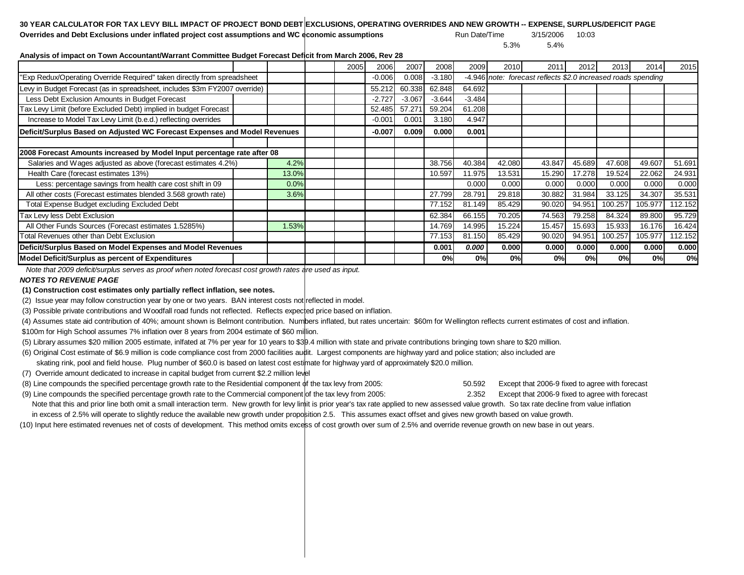## **30 YEAR CALCULATOR FOR TAX LEVY BILL IMPACT OF PROJECT BOND DEBT EXCLUSIONS, OPERATING OVERRIDES AND NEW GROWTH -- EXPENSE, SURPLUS/DEFICIT PAGE**

**Overrides and Debt Exclusions under inflated project cost assumptions and WC economic assumptions** Run Date/Time 3/15/2006 10:03

5.3% 5.4%

**Analysis of impact on Town Accountant/Warrant Committee Budget Forecast Deficit from March 2006, Rev 28**

|                                                                            |  |       | 2005     | 2006     | 2007     | 2008     | 2009     | 2010   | 201                                                           | 2012   | 2013    | 2014    | 2015    |
|----------------------------------------------------------------------------|--|-------|----------|----------|----------|----------|----------|--------|---------------------------------------------------------------|--------|---------|---------|---------|
| "Exp Redux/Operating Override Required" taken directly from spreadsheet    |  |       |          | $-0.006$ | 0.008    | $-3.180$ |          |        | -4.946 note: forecast reflects \$2.0 increased roads spending |        |         |         |         |
| Levy in Budget Forecast (as in spreadsheet, includes \$3m FY2007 override) |  |       |          | 55.212   | 60.338   | 62.848   | 64.692   |        |                                                               |        |         |         |         |
| Less Debt Exclusion Amounts in Budget Forecast                             |  |       |          | $-2.727$ | $-3.067$ | $-3.644$ | $-3.484$ |        |                                                               |        |         |         |         |
| Tax Levy Limit (before Excluded Debt) implied in budget Forecast           |  |       |          | 52.485   | 57.271   | 59.204   | 61.208   |        |                                                               |        |         |         |         |
| Increase to Model Tax Levy Limit (b.e.d.) reflecting overrides             |  |       |          | $-0.001$ | 0.001    | 3.180    | 4.947    |        |                                                               |        |         |         |         |
| Deficit/Surplus Based on Adjusted WC Forecast Expenses and Model Revenues  |  |       | $-0.007$ | 0.009    | 0.000    | 0.001    |          |        |                                                               |        |         |         |         |
|                                                                            |  |       |          |          |          |          |          |        |                                                               |        |         |         |         |
| 2008 Forecast Amounts increased by Model Input percentage rate after 08    |  |       |          |          |          |          |          |        |                                                               |        |         |         |         |
| Salaries and Wages adjusted as above (forecast estimates 4.2%)             |  | 4.2%  |          |          |          | 38.756   | 40.384   | 42.080 | 43.847                                                        | 45.689 | 47.608  | 49.607  | 51.691  |
| Health Care (forecast estimates 13%)                                       |  | 13.0% |          |          |          | 10.597   | 11.975   | 13.531 | 15.290                                                        | 17.278 | 19.524  | 22.062  | 24.931  |
| Less: percentage savings from health care cost shift in 09                 |  | 0.0%  |          |          |          |          | 0.000    | 0.000  | 0.000                                                         | 0.000  | 0.000   | 0.000   | 0.000   |
| All other costs (Forecast estimates blended 3.568 growth rate)             |  | 3.6%  |          |          |          | 27.799   | 28.791   | 29.818 | 30.882                                                        | 31.984 | 33.125  | 34.307  | 35.531  |
| Total Expense Budget excluding Excluded Debt                               |  |       |          |          |          | 77.152   | 81.149   | 85.429 | 90.020                                                        | 94.951 | 100.257 | 105.977 | 112.152 |
| <b>Tax Levy less Debt Exclusion</b>                                        |  |       |          |          |          | 62.384   | 66.155   | 70.205 | 74.563                                                        | 79.258 | 84.324  | 89.800  | 95.729  |
| All Other Funds Sources (Forecast estimates 1.5285%)                       |  | 1.53% |          |          |          | 14.769   | 14.995   | 15.224 | 15.457                                                        | 15.693 | 15.933  | 16.176  | 16.424  |
| Total Revenues other than Debt Exclusion                                   |  |       |          |          |          | 77.153   | 81.150   | 85.429 | 90.020                                                        | 94.951 | 100.257 | 105.977 | 112.152 |
| Deficit/Surplus Based on Model Expenses and Model Revenues                 |  |       |          |          |          | 0.001    | 0.000    | 0.0001 | 0.000                                                         | 0.000  | 0.000   | 0.000   | 0.000   |
| Model Deficit/Surplus as percent of Expenditures                           |  |       |          |          |          | 0%       | 0%       | 0%     | 0%                                                            | 0%     | 0%      | 0%      | 0%      |

 *Note that 2009 deficit/surplus serves as proof when noted forecast cost growth rates are used as input.*

## *NOTES TO REVENUE PAGE*

**(1) Construction cost estimates only partially reflect inflation, see notes.**

(2) Issue year may follow construction year by one or two years. BAN interest costs not reflected in model.

(3) Possible private contributions and Woodfall road funds not reflected. Reflects expected price based on inflation.

(4) Assumes state aid contribution of 40%; amount shown is Belmont contribution. Numbers inflated, but rates uncertain: \$60m for Wellington reflects current estimates of cost and inflation.

\$100m for High School assumes 7% inflation over 8 years from 2004 estimate of \$60 million.

(5) Library assumes \$20 million 2005 estimate, inlfated at 7% per year for 10 years to \$39.4 million with state and private contributions bringing town share to \$20 million.

(6) Original Cost estimate of \$6.9 million is code compliance cost from 2000 facilities audit. Largest components are highway yard and police station; also included are

skating rink, pool and field house. Plug number of \$60.0 is based on latest cost estimate for highway yard of approximately \$20.0 million.

(7) Override amount dedicated to increase in capital budget from current \$2.2 million level

(8) Line compounds the specified percentage growth rate to the Residential component of the tax levy from 2005: 50.592 Except that 2006-9 fixed to agree with forecast

(9) Line compounds the specified percentage growth rate to the Commercial component of the tax levy from 2005: 2.352 Except that 2006-9 fixed to agree with forecast

Note that this and prior line both omit a small interaction term. New growth for levy limit is prior year's tax rate applied to new assessed value growth. So tax rate decline from value inflation in excess of 2.5% will operate to slightly reduce the available new growth under proposition 2.5. This assumes exact offset and gives new growth based on value growth.

(10) Input here estimated revenues net of costs of development. This method omits excess of cost growth over sum of 2.5% and override revenue growth on new base in out years.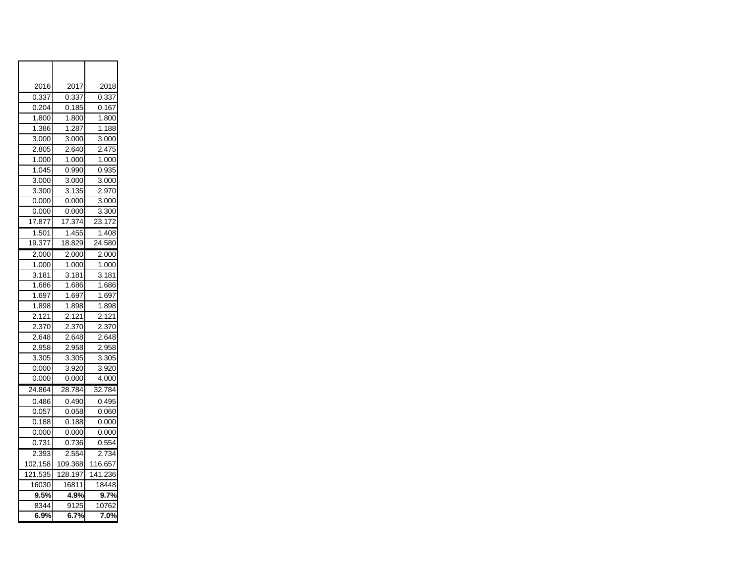| 2016    | 2017    | 2018               |
|---------|---------|--------------------|
| 0.337   | 0.337   | 0.337              |
| 0.204   | 0.185   | 0.167              |
| 1.800   | 1.800   | 1.800              |
| 1.386   | 1.287   | 1.188              |
| 3.000   | 3.000   | 3.000              |
| 2.805   | 2.640   | 2.475              |
| 1.000   | 1.000   | 1.000              |
| 1.045   | 0.990   | 0.935              |
| 3.000   | 3.000   | 3.000              |
| 3.300   | 3.135   | 2.970              |
| 0.000   | 0.000   | 3.000              |
| 0.000   | 0.000   | 3.300              |
| 17.877  | 17.374  | 23.172             |
| 1.501   | 1.455   | 1.408              |
| 19.377  | 18.829  | 24.580             |
| 2.000   | 2.000   | 2.000              |
| 1.000   | 1.000   | 1.000              |
| 3.181   | 3.181   | 3.181              |
| 1.686   | 1.686   | 1.686              |
| 1.697   | 1.697   | 1.697              |
| 1.898   | 1.898   | $\overline{1.898}$ |
| 2.121   | 2.121   | 2.121              |
| 2.370   | 2.370   | 2.370              |
| 2.648   | 2.648   | 2.648              |
| 2.958   | 2.958   | 2.958              |
| 3.305   | 3.305   | 3.305              |
| 0.000   | 3.920   | 3.920              |
| 0.000   | 0.000   | 4.000              |
| 24.864  | 28.784  | 32.784             |
| 0.486   | 0.490   | 0.495              |
| 0.057   | 0.058   | 0.060              |
| 0.188   | 0.188   | 0.000              |
| 0.000   | 0.000   | 0.000              |
| 0.731   | 0.736   | 0.554              |
| 2.393   | 2.554   | 2.734              |
| 102.158 | 109.368 | 116.657            |
| 121.535 | 128.197 | 141.236            |
| 16030   | 16811   | 18448              |
| 9.5%    | 4.9%    | 9.7%               |
| 8344    | 9125    | 10762              |
| 6.9%    | 6.7%    | 7.0%               |